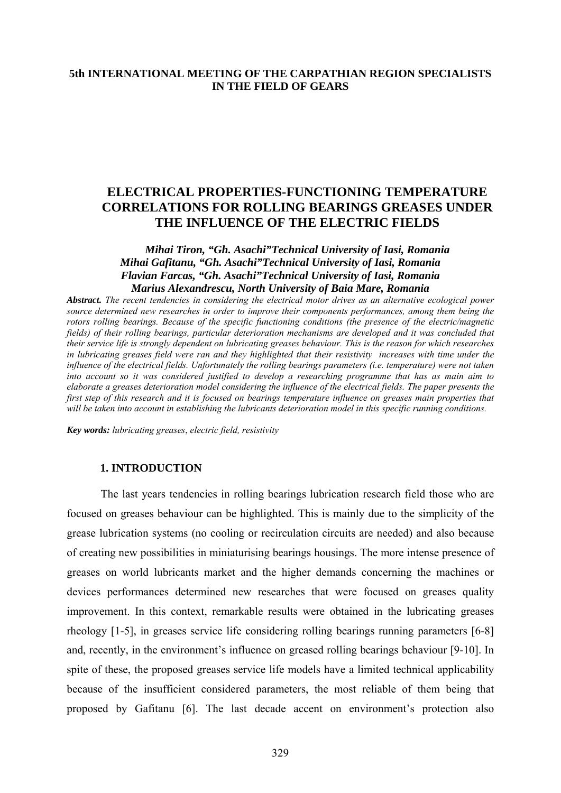# **5th INTERNATIONAL MEETING OF THE CARPATHIAN REGION SPECIALISTS IN THE FIELD OF GEARS**

# **ELECTRICAL PROPERTIES-FUNCTIONING TEMPERATURE CORRELATIONS FOR ROLLING BEARINGS GREASES UNDER THE INFLUENCE OF THE ELECTRIC FIELDS**

## *Mihai Tiron, "Gh. Asachi"Technical University of Iasi, Romania Mihai Gafitanu, "Gh. Asachi"Technical University of Iasi, Romania Flavian Farcas, "Gh. Asachi"Technical University of Iasi, Romania Marius Alexandrescu, North University of Baia Mare, Romania*

*Abstract. The recent tendencies in considering the electrical motor drives as an alternative ecological power source determined new researches in order to improve their components performances, among them being the rotors rolling bearings. Because of the specific functioning conditions (the presence of the electric/magnetic fields) of their rolling bearings, particular deterioration mechanisms are developed and it was concluded that their service life is strongly dependent on lubricating greases behaviour. This is the reason for which researches in lubricating greases field were ran and they highlighted that their resistivity increases with time under the influence of the electrical fields. Unfortunately the rolling bearings parameters (i.e. temperature) were not taken into account so it was considered justified to develop a researching programme that has as main aim to elaborate a greases deterioration model considering the influence of the electrical fields. The paper presents the first step of this research and it is focused on bearings temperature influence on greases main properties that will be taken into account in establishing the lubricants deterioration model in this specific running conditions.*

*Key words: lubricating greases*, *electric field, resistivity*

## **1. INTRODUCTION**

The last years tendencies in rolling bearings lubrication research field those who are focused on greases behaviour can be highlighted. This is mainly due to the simplicity of the grease lubrication systems (no cooling or recirculation circuits are needed) and also because of creating new possibilities in miniaturising bearings housings. The more intense presence of greases on world lubricants market and the higher demands concerning the machines or devices performances determined new researches that were focused on greases quality improvement. In this context, remarkable results were obtained in the lubricating greases rheology [1-5], in greases service life considering rolling bearings running parameters [6-8] and, recently, in the environment's influence on greased rolling bearings behaviour [9-10]. In spite of these, the proposed greases service life models have a limited technical applicability because of the insufficient considered parameters, the most reliable of them being that proposed by Gafitanu [6]. The last decade accent on environment's protection also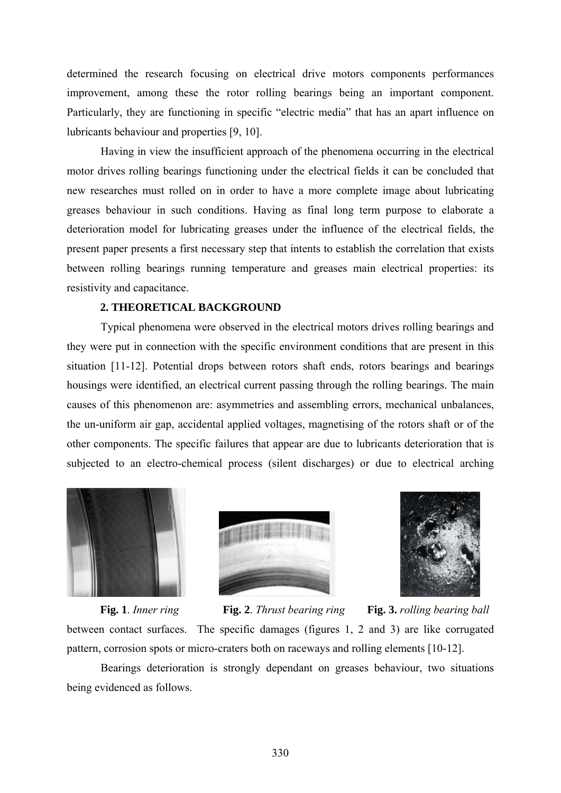determined the research focusing on electrical drive motors components performances improvement, among these the rotor rolling bearings being an important component. Particularly, they are functioning in specific "electric media" that has an apart influence on lubricants behaviour and properties [9, 10].

Having in view the insufficient approach of the phenomena occurring in the electrical motor drives rolling bearings functioning under the electrical fields it can be concluded that new researches must rolled on in order to have a more complete image about lubricating greases behaviour in such conditions. Having as final long term purpose to elaborate a deterioration model for lubricating greases under the influence of the electrical fields, the present paper presents a first necessary step that intents to establish the correlation that exists between rolling bearings running temperature and greases main electrical properties: its resistivity and capacitance.

## **2. THEORETICAL BACKGROUND**

Typical phenomena were observed in the electrical motors drives rolling bearings and they were put in connection with the specific environment conditions that are present in this situation [11-12]. Potential drops between rotors shaft ends, rotors bearings and bearings housings were identified, an electrical current passing through the rolling bearings. The main causes of this phenomenon are: asymmetries and assembling errors, mechanical unbalances, the un-uniform air gap, accidental applied voltages, magnetising of the rotors shaft or of the other components. The specific failures that appear are due to lubricants deterioration that is subjected to an electro-chemical process (silent discharges) or due to electrical arching







between contact surfaces. The specific damages (figures 1, 2 and 3) are like corrugated pattern, corrosion spots or micro-craters both on raceways and rolling elements [10-12]. **Fig. 1**. *Inner ring* **Fig. 2**. *Thrust bearing ring* **Fig. 3.** *rolling bearing ball* 

Bearings deterioration is strongly dependant on greases behaviour, two situations being evidenced as follows.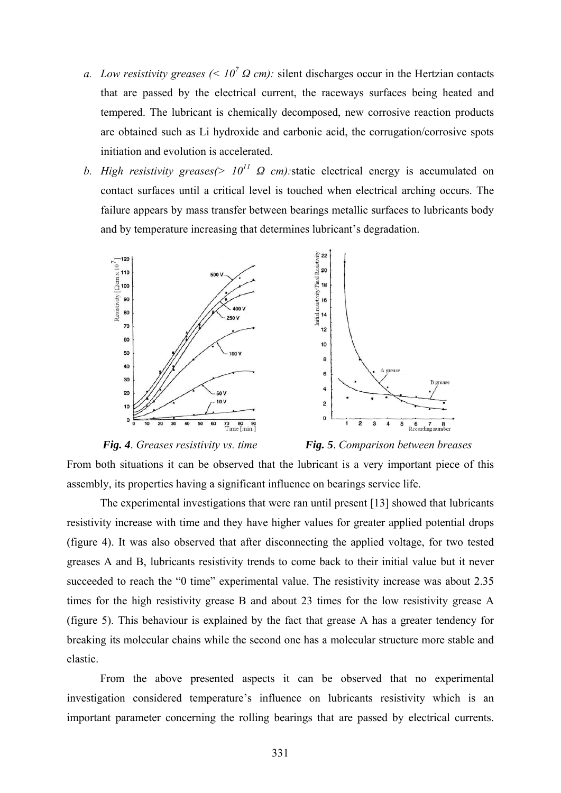- *a. Low resistivity greases* (<  $10^7 \Omega$  *cm*): silent discharges occur in the Hertzian contacts that are passed by the electrical current, the raceways surfaces being heated and tempered. The lubricant is chemically decomposed, new corrosive reaction products are obtained such as Li hydroxide and carbonic acid, the corrugation/corrosive spots initiation and evolution is accelerated.
- *b. High resistivity greases(> 1011 Ω cm):*static electrical energy is accumulated on contact surfaces until a critical level is touched when electrical arching occurs. The failure appears by mass transfer between bearings metallic surfaces to lubricants body and by temperature increasing that determines lubricant's degradation.



*Fig. 4*. *Greases resistivity vs. time Fig. 5*. *Comparison between breases* 

5

B greas

 $6 \t 7 \t 8$ <br>Recording number

From both situations it can be observed that the lubricant is a very important piece of this assembly, its properties having a significant influence on bearings service life.

 The experimental investigations that were ran until present [13] showed that lubricants resistivity increase with time and they have higher values for greater applied potential drops (figure 4). It was also observed that after disconnecting the applied voltage, for two tested greases A and B, lubricants resistivity trends to come back to their initial value but it never succeeded to reach the "0 time" experimental value. The resistivity increase was about 2.35 times for the high resistivity grease B and about 23 times for the low resistivity grease A (figure 5). This behaviour is explained by the fact that grease A has a greater tendency for breaking its molecular chains while the second one has a molecular structure more stable and elastic.

 From the above presented aspects it can be observed that no experimental investigation considered temperature's influence on lubricants resistivity which is an important parameter concerning the rolling bearings that are passed by electrical currents.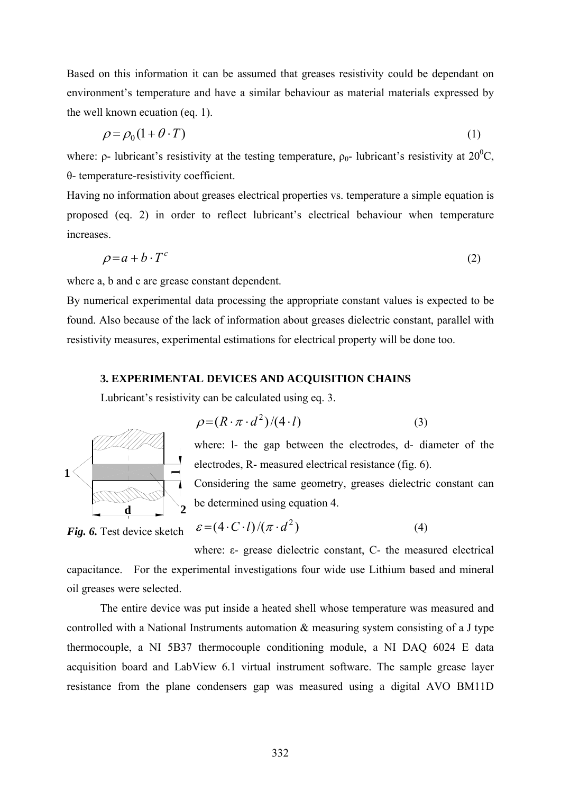Based on this information it can be assumed that greases resistivity could be dependant on environment's temperature and have a similar behaviour as material materials expressed by the well known ecuation (eq. 1).

$$
\rho = \rho_0 (1 + \theta \cdot T) \tag{1}
$$

where:  $\rho$ - lubricant's resistivity at the testing temperature,  $\rho_0$ - lubricant's resistivity at 20<sup>0</sup>C, θ- temperature-resistivity coefficient.

Having no information about greases electrical properties vs. temperature a simple equation is proposed (eq. 2) in order to reflect lubricant's electrical behaviour when temperature increases.

$$
\rho = a + b \cdot T^c \tag{2}
$$

where a, b and c are grease constant dependent.

By numerical experimental data processing the appropriate constant values is expected to be found. Also because of the lack of information about greases dielectric constant, parallel with resistivity measures, experimental estimations for electrical property will be done too.

#### **3. EXPERIMENTAL DEVICES AND ACQUISITION CHAINS**

Lubricant's resistivity can be calculated using eq. 3.



$$
\rho = (R \cdot \pi \cdot d^2)/(4 \cdot l) \tag{3}
$$

where: l- the gap between the electrodes, d- diameter of the electrodes, R- measured electrical resistance (fig. 6).

Considering the same geometry, greases dielectric constant can be determined using equation 4.

 $\varepsilon = (4 \cdot C \cdot l)/(\pi \cdot d^2)$  (4) *Fig. 6.* Test device sketch

where: ε- grease dielectric constant, C- the measured electrical capacitance. For the experimental investigations four wide use Lithium based and mineral oil greases were selected.

The entire device was put inside a heated shell whose temperature was measured and controlled with a National Instruments automation & measuring system consisting of a J type thermocouple, a NI 5B37 thermocouple conditioning module, a NI DAQ 6024 E data acquisition board and LabView 6.1 virtual instrument software. The sample grease layer resistance from the plane condensers gap was measured using a digital AVO BM11D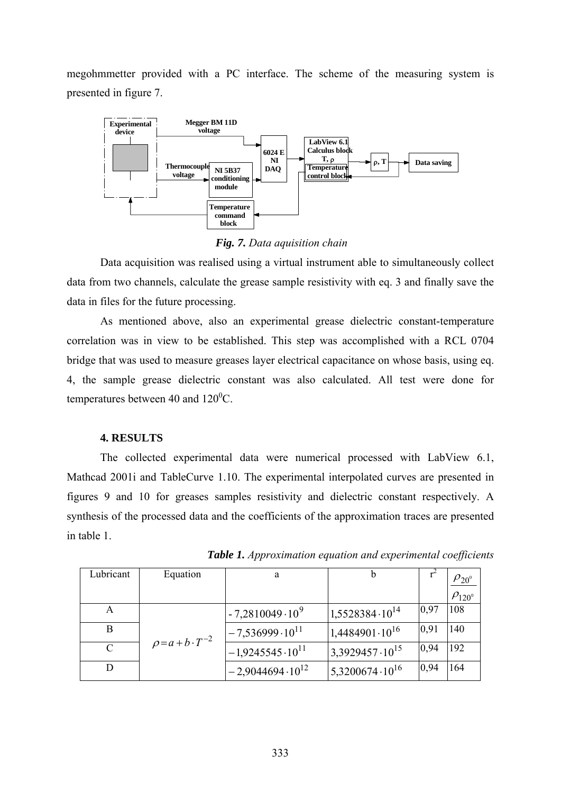megohmmetter provided with a PC interface. The scheme of the measuring system is presented in figure 7.



*Fig. 7. Data aquisition chain*

Data acquisition was realised using a virtual instrument able to simultaneously collect data from two channels, calculate the grease sample resistivity with eq. 3 and finally save the data in files for the future processing.

 As mentioned above, also an experimental grease dielectric constant-temperature correlation was in view to be established. This step was accomplished with a RCL 0704 bridge that was used to measure greases layer electrical capacitance on whose basis, using eq. 4, the sample grease dielectric constant was also calculated. All test were done for temperatures between 40 and  $120^{\circ}$ C.

## **4. RESULTS**

 The collected experimental data were numerical processed with LabView 6.1, Mathcad 2001i and TableCurve 1.10. The experimental interpolated curves are presented in figures 9 and 10 for greases samples resistivity and dielectric constant respectively. A synthesis of the processed data and the coefficients of the approximation traces are presented in table 1.

| Lubricant     | Equation                    | a                        |                            |      | $\rho_{20^{\scriptscriptstyle 0}}$ |
|---------------|-----------------------------|--------------------------|----------------------------|------|------------------------------------|
|               |                             |                          |                            |      | $\rho_{120^{\circ}}$               |
| А             | $\rho = a + b \cdot T^{-2}$ | $-7,2810049\cdot10^{9}$  | $1,5528384\cdot10^{14}$    | 0,97 | 108                                |
| B             |                             | $-7,536999\cdot10^{11}$  | $1,4484901\cdot 10^{16}$   | 0,91 | 140                                |
| $\mathcal{C}$ |                             | $-1,9245545\cdot10^{11}$ | $13,3929457 \cdot 10^{15}$ | 0,94 | 192                                |
|               |                             | $-2,9044694\cdot10^{12}$ | $15,3200674\cdot10^{16}$   | 0,94 | 164                                |

*Table 1. Approximation equation and experimental coefficients*